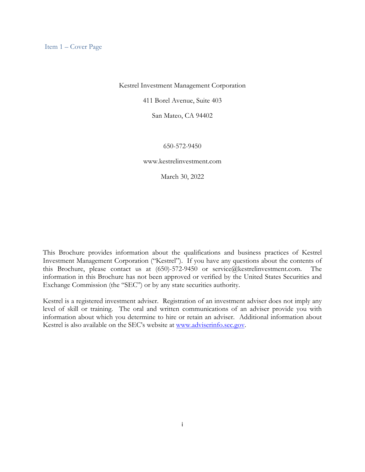Kestrel Investment Management Corporation

411 Borel Avenue, Suite 403

San Mateo, CA 94402

#### 650-572-9450

www.kestrelinvestment.com

March 30, 2022

This Brochure provides information about the qualifications and business practices of Kestrel Investment Management Corporation ("Kestrel"). If you have any questions about the contents of this Brochure, please contact us at (650)-572-9450 or service@kestrelinvestment.com. The information in this Brochure has not been approved or verified by the United States Securities and Exchange Commission (the "SEC") or by any state securities authority.

Kestrel is a registered investment adviser. Registration of an investment adviser does not imply any level of skill or training. The oral and written communications of an adviser provide you with information about which you determine to hire or retain an adviser. Additional information about Kestrel is also available on the SEC's website at www.adviserinfo.sec.gov.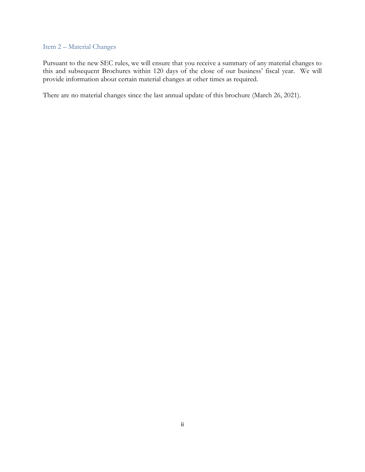#### Item 2 – Material Changes

Pursuant to the new SEC rules, we will ensure that you receive a summary of any material changes to this and subsequent Brochures within 120 days of the close of our business' fiscal year. We will provide information about certain material changes at other times as required.

There are no material changes since the last annual update of this brochure (March 26, 2021).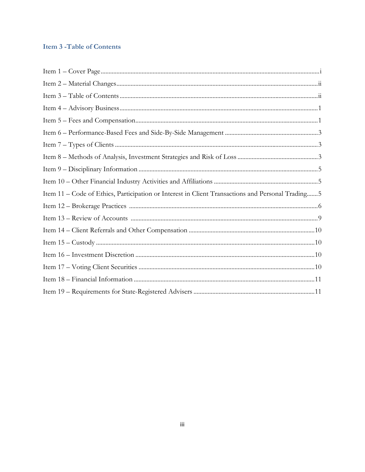# **Item 3 - Table of Contents**

| Item 11 - Code of Ethics, Participation or Interest in Client Transactions and Personal Trading 5 |  |
|---------------------------------------------------------------------------------------------------|--|
|                                                                                                   |  |
|                                                                                                   |  |
|                                                                                                   |  |
|                                                                                                   |  |
|                                                                                                   |  |
|                                                                                                   |  |
|                                                                                                   |  |
|                                                                                                   |  |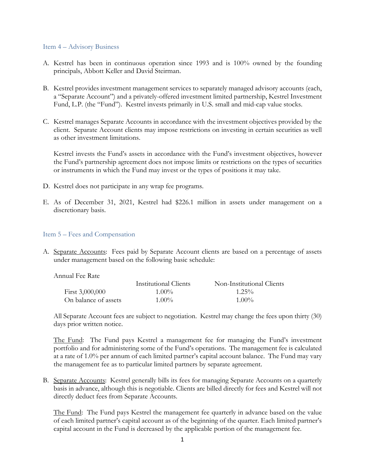#### Item 4 – Advisory Business

- A. Kestrel has been in continuous operation since 1993 and is 100% owned by the founding principals, Abbott Keller and David Steirman.
- B. Kestrel provides investment management services to separately managed advisory accounts (each, a "Separate Account") and a privately-offered investment limited partnership, Kestrel Investment Fund, L.P. (the "Fund"). Kestrel invests primarily in U.S. small and mid-cap value stocks.
- C. Kestrel manages Separate Accounts in accordance with the investment objectives provided by the client. Separate Account clients may impose restrictions on investing in certain securities as well as other investment limitations.

Kestrel invests the Fund's assets in accordance with the Fund's investment objectives, however the Fund's partnership agreement does not impose limits or restrictions on the types of securities or instruments in which the Fund may invest or the types of positions it may take.

- D. Kestrel does not participate in any wrap fee programs.
- E. As of December 31, 2021, Kestrel had \$226.1 million in assets under management on a discretionary basis.

### Item 5 – Fees and Compensation

A. Separate Accounts: Fees paid by Separate Account clients are based on a percentage of assets under management based on the following basic schedule:

Annual Fee Rate

|                      | <b>Institutional Clients</b> | Non-Institutional Clients |
|----------------------|------------------------------|---------------------------|
| First $3,000,000$    | $1.00\%$                     | $1.25\%$                  |
| On balance of assets | $1.00\%$                     | $1.00\%$                  |

All Separate Account fees are subject to negotiation. Kestrel may change the fees upon thirty (30) days prior written notice.

The Fund: The Fund pays Kestrel a management fee for managing the Fund's investment portfolio and for administering some of the Fund's operations. The management fee is calculated at a rate of 1.0% per annum of each limited partner's capital account balance. The Fund may vary the management fee as to particular limited partners by separate agreement.

B. Separate Accounts: Kestrel generally bills its fees for managing Separate Accounts on a quarterly basis in advance, although this is negotiable. Clients are billed directly for fees and Kestrel will not directly deduct fees from Separate Accounts.

The Fund: The Fund pays Kestrel the management fee quarterly in advance based on the value of each limited partner's capital account as of the beginning of the quarter. Each limited partner's capital account in the Fund is decreased by the applicable portion of the management fee.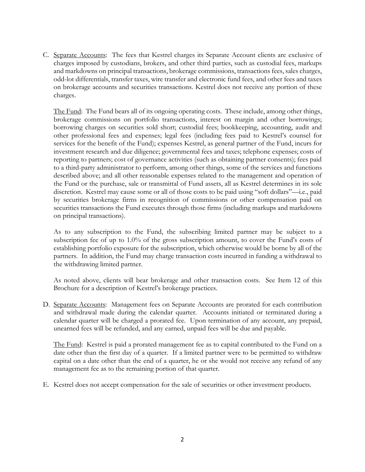C. Separate Accounts: The fees that Kestrel charges its Separate Account clients are exclusive of charges imposed by custodians, brokers, and other third parties, such as custodial fees, markups and markdowns on principal transactions, brokerage commissions, transactions fees, sales charges, odd-lot differentials, transfer taxes, wire transfer and electronic fund fees, and other fees and taxes on brokerage accounts and securities transactions. Kestrel does not receive any portion of these charges.

The Fund: The Fund bears all of its ongoing operating costs. These include, among other things, brokerage commissions on portfolio transactions, interest on margin and other borrowings; borrowing charges on securities sold short; custodial fees; bookkeeping, accounting, audit and other professional fees and expenses; legal fees (including fees paid to Kestrel's counsel for services for the benefit of the Fund); expenses Kestrel, as general partner of the Fund, incurs for investment research and due diligence; governmental fees and taxes; telephone expenses; costs of reporting to partners; cost of governance activities (such as obtaining partner consents); fees paid to a third-party administrator to perform, among other things, some of the services and functions described above; and all other reasonable expenses related to the management and operation of the Fund or the purchase, sale or transmittal of Fund assets, all as Kestrel determines in its sole discretion. Kestrel may cause some or all of those costs to be paid using "soft dollars"—i.e., paid by securities brokerage firms in recognition of commissions or other compensation paid on securities transactions the Fund executes through those firms (including markups and markdowns on principal transactions).

As to any subscription to the Fund, the subscribing limited partner may be subject to a subscription fee of up to 1.0% of the gross subscription amount, to cover the Fund's costs of establishing portfolio exposure for the subscription, which otherwise would be borne by all of the partners. In addition, the Fund may charge transaction costs incurred in funding a withdrawal to the withdrawing limited partner.

As noted above, clients will bear brokerage and other transaction costs. See Item 12 of this Brochure for a description of Kestrel's brokerage practices.

D. Separate Accounts: Management fees on Separate Accounts are prorated for each contribution and withdrawal made during the calendar quarter. Accounts initiated or terminated during a calendar quarter will be charged a prorated fee. Upon termination of any account, any prepaid, unearned fees will be refunded, and any earned, unpaid fees will be due and payable.

The Fund: Kestrel is paid a prorated management fee as to capital contributed to the Fund on a date other than the first day of a quarter. If a limited partner were to be permitted to withdraw capital on a date other than the end of a quarter, he or she would not receive any refund of any management fee as to the remaining portion of that quarter.

E. Kestrel does not accept compensation for the sale of securities or other investment products.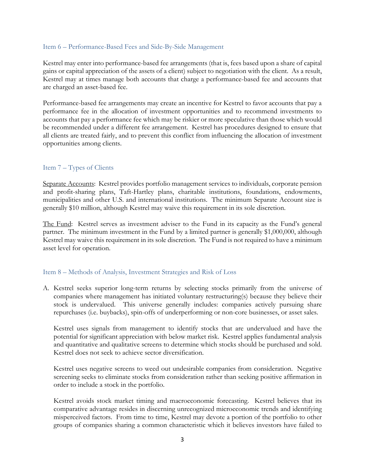### Item 6 – Performance-Based Fees and Side-By-Side Management

Kestrel may enter into performance-based fee arrangements (that is, fees based upon a share of capital gains or capital appreciation of the assets of a client) subject to negotiation with the client. As a result, Kestrel may at times manage both accounts that charge a performance-based fee and accounts that are charged an asset-based fee.

Performance-based fee arrangements may create an incentive for Kestrel to favor accounts that pay a performance fee in the allocation of investment opportunities and to recommend investments to accounts that pay a performance fee which may be riskier or more speculative than those which would be recommended under a different fee arrangement. Kestrel has procedures designed to ensure that all clients are treated fairly, and to prevent this conflict from influencing the allocation of investment opportunities among clients.

# Item 7 – Types of Clients

Separate Accounts: Kestrel provides portfolio management services to individuals, corporate pension and profit-sharing plans, Taft-Hartley plans, charitable institutions, foundations, endowments, municipalities and other U.S. and international institutions. The minimum Separate Account size is generally \$10 million, although Kestrel may waive this requirement in its sole discretion.

The Fund: Kestrel serves as investment adviser to the Fund in its capacity as the Fund's general partner. The minimum investment in the Fund by a limited partner is generally \$1,000,000, although Kestrel may waive this requirement in its sole discretion. The Fund is not required to have a minimum asset level for operation.

### Item 8 – Methods of Analysis, Investment Strategies and Risk of Loss

A. Kestrel seeks superior long-term returns by selecting stocks primarily from the universe of companies where management has initiated voluntary restructuring(s) because they believe their stock is undervalued. This universe generally includes: companies actively pursuing share repurchases (i.e. buybacks), spin-offs of underperforming or non-core businesses, or asset sales.

Kestrel uses signals from management to identify stocks that are undervalued and have the potential for significant appreciation with below market risk. Kestrel applies fundamental analysis and quantitative and qualitative screens to determine which stocks should be purchased and sold. Kestrel does not seek to achieve sector diversification.

Kestrel uses negative screens to weed out undesirable companies from consideration. Negative screening seeks to eliminate stocks from consideration rather than seeking positive affirmation in order to include a stock in the portfolio.

Kestrel avoids stock market timing and macroeconomic forecasting. Kestrel believes that its comparative advantage resides in discerning unrecognized microeconomic trends and identifying misperceived factors. From time to time, Kestrel may devote a portion of the portfolio to other groups of companies sharing a common characteristic which it believes investors have failed to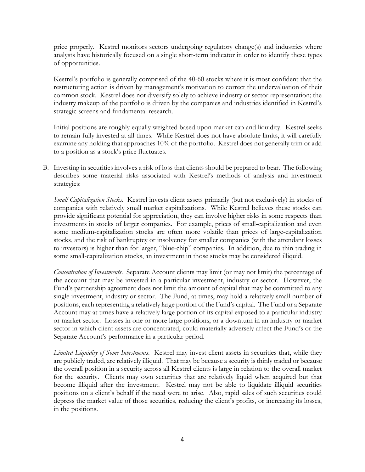price properly. Kestrel monitors sectors undergoing regulatory change(s) and industries where analysts have historically focused on a single short-term indicator in order to identify these types of opportunities.

Kestrel's portfolio is generally comprised of the 40-60 stocks where it is most confident that the restructuring action is driven by management's motivation to correct the undervaluation of their common stock. Kestrel does not diversify solely to achieve industry or sector representation; the industry makeup of the portfolio is driven by the companies and industries identified in Kestrel's strategic screens and fundamental research.

Initial positions are roughly equally weighted based upon market cap and liquidity. Kestrel seeks to remain fully invested at all times. While Kestrel does not have absolute limits, it will carefully examine any holding that approaches 10% of the portfolio. Kestrel does not generally trim or add to a position as a stock's price fluctuates.

B. Investing in securities involves a risk of loss that clients should be prepared to bear. The following describes some material risks associated with Kestrel's methods of analysis and investment strategies:

*Small Capitalization Stocks*. Kestrel invests client assets primarily (but not exclusively) in stocks of companies with relatively small market capitalizations. While Kestrel believes these stocks can provide significant potential for appreciation, they can involve higher risks in some respects than investments in stocks of larger companies. For example, prices of small-capitalization and even some medium-capitalization stocks are often more volatile than prices of large-capitalization stocks, and the risk of bankruptcy or insolvency for smaller companies (with the attendant losses to investors) is higher than for larger, "blue-chip" companies. In addition, due to thin trading in some small-capitalization stocks, an investment in those stocks may be considered illiquid.

*Concentration of Investments*. Separate Account clients may limit (or may not limit) the percentage of the account that may be invested in a particular investment, industry or sector. However, the Fund's partnership agreement does not limit the amount of capital that may be committed to any single investment, industry or sector. The Fund, at times, may hold a relatively small number of positions, each representing a relatively large portion of the Fund's capital. The Fund or a Separate Account may at times have a relatively large portion of its capital exposed to a particular industry or market sector. Losses in one or more large positions, or a downturn in an industry or market sector in which client assets are concentrated, could materially adversely affect the Fund's or the Separate Account's performance in a particular period.

*Limited Liquidity of Some Investments*. Kestrel may invest client assets in securities that, while they are publicly traded, are relatively illiquid. That may be because a security is thinly traded or because the overall position in a security across all Kestrel clients is large in relation to the overall market for the security. Clients may own securities that are relatively liquid when acquired but that become illiquid after the investment. Kestrel may not be able to liquidate illiquid securities positions on a client's behalf if the need were to arise. Also, rapid sales of such securities could depress the market value of those securities, reducing the client's profits, or increasing its losses, in the positions.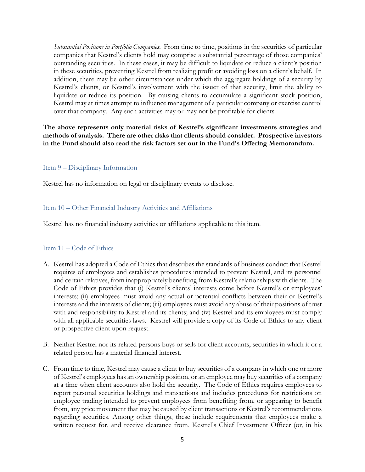*Substantial Positions in Portfolio Companies*. From time to time, positions in the securities of particular companies that Kestrel's clients hold may comprise a substantial percentage of those companies' outstanding securities. In these cases, it may be difficult to liquidate or reduce a client's position in these securities, preventing Kestrel from realizing profit or avoiding loss on a client's behalf. In addition, there may be other circumstances under which the aggregate holdings of a security by Kestrel's clients, or Kestrel's involvement with the issuer of that security, limit the ability to liquidate or reduce its position. By causing clients to accumulate a significant stock position, Kestrel may at times attempt to influence management of a particular company or exercise control over that company. Any such activities may or may not be profitable for clients.

**The above represents only material risks of Kestrel's significant investments strategies and methods of analysis. There are other risks that clients should consider. Prospective investors in the Fund should also read the risk factors set out in the Fund's Offering Memorandum.** 

# Item 9 – Disciplinary Information

Kestrel has no information on legal or disciplinary events to disclose.

# Item 10 – Other Financial Industry Activities and Affiliations

Kestrel has no financial industry activities or affiliations applicable to this item.

# Item 11 – Code of Ethics

- A. Kestrel has adopted a Code of Ethics that describes the standards of business conduct that Kestrel requires of employees and establishes procedures intended to prevent Kestrel, and its personnel and certain relatives, from inappropriately benefiting from Kestrel's relationships with clients. The Code of Ethics provides that (i) Kestrel's clients' interests come before Kestrel's or employees' interests; (ii) employees must avoid any actual or potential conflicts between their or Kestrel's interests and the interests of clients; (iii) employees must avoid any abuse of their positions of trust with and responsibility to Kestrel and its clients; and (iv) Kestrel and its employees must comply with all applicable securities laws. Kestrel will provide a copy of its Code of Ethics to any client or prospective client upon request.
- B. Neither Kestrel nor its related persons buys or sells for client accounts, securities in which it or a related person has a material financial interest.
- C. From time to time, Kestrel may cause a client to buy securities of a company in which one or more of Kestrel's employees has an ownership position, or an employee may buy securities of a company at a time when client accounts also hold the security. The Code of Ethics requires employees to report personal securities holdings and transactions and includes procedures for restrictions on employee trading intended to prevent employees from benefiting from, or appearing to benefit from, any price movement that may be caused by client transactions or Kestrel's recommendations regarding securities. Among other things, these include requirements that employees make a written request for, and receive clearance from, Kestrel's Chief Investment Officer (or, in his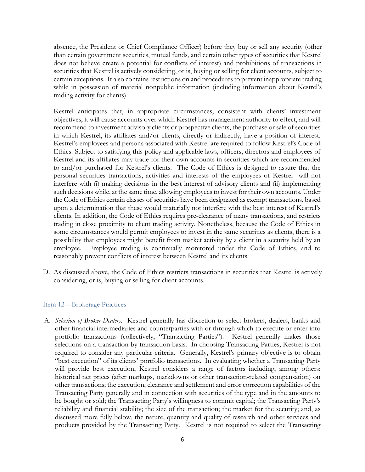absence, the President or Chief Compliance Officer) before they buy or sell any security (other than certain government securities, mutual funds, and certain other types of securities that Kestrel does not believe create a potential for conflicts of interest) and prohibitions of transactions in securities that Kestrel is actively considering, or is, buying or selling for client accounts, subject to certain exceptions. It also contains restrictions on and procedures to prevent inappropriate trading while in possession of material nonpublic information (including information about Kestrel's trading activity for clients).

Kestrel anticipates that, in appropriate circumstances, consistent with clients' investment objectives, it will cause accounts over which Kestrel has management authority to effect, and will recommend to investment advisory clients or prospective clients, the purchase or sale of securities in which Kestrel, its affiliates and/or clients, directly or indirectly, have a position of interest. Kestrel's employees and persons associated with Kestrel are required to follow Kestrel's Code of Ethics. Subject to satisfying this policy and applicable laws, officers, directors and employees of Kestrel and its affiliates may trade for their own accounts in securities which are recommended to and/or purchased for Kestrel's clients. The Code of Ethics is designed to assure that the personal securities transactions, activities and interests of the employees of Kestrel will not interfere with (i) making decisions in the best interest of advisory clients and (ii) implementing such decisions while, at the same time, allowing employees to invest for their own accounts. Under the Code of Ethics certain classes of securities have been designated as exempt transactions, based upon a determination that these would materially not interfere with the best interest of Kestrel's clients. In addition, the Code of Ethics requires pre-clearance of many transactions, and restricts trading in close proximity to client trading activity. Nonetheless, because the Code of Ethics in some circumstances would permit employees to invest in the same securities as clients, there is a possibility that employees might benefit from market activity by a client in a security held by an employee. Employee trading is continually monitored under the Code of Ethics, and to reasonably prevent conflicts of interest between Kestrel and its clients.

D. As discussed above, the Code of Ethics restricts transactions in securities that Kestrel is actively considering, or is, buying or selling for client accounts.

### Item 12 – Brokerage Practices

A. *Selection of Broker-Dealers*. Kestrel generally has discretion to select brokers, dealers, banks and other financial intermediaries and counterparties with or through which to execute or enter into portfolio transactions (collectively, "Transacting Parties"). Kestrel generally makes those selections on a transaction-by-transaction basis. In choosing Transacting Parties, Kestrel is not required to consider any particular criteria. Generally, Kestrel's primary objective is to obtain "best execution" of its clients' portfolio transactions. In evaluating whether a Transacting Party will provide best execution, Kestrel considers a range of factors including, among others: historical net prices (after markups, markdowns or other transaction-related compensation) on other transactions; the execution, clearance and settlement and error correction capabilities of the Transacting Party generally and in connection with securities of the type and in the amounts to be bought or sold; the Transacting Party's willingness to commit capital; the Transacting Party's reliability and financial stability; the size of the transaction; the market for the security; and, as discussed more fully below, the nature, quantity and quality of research and other services and products provided by the Transacting Party. Kestrel is not required to select the Transacting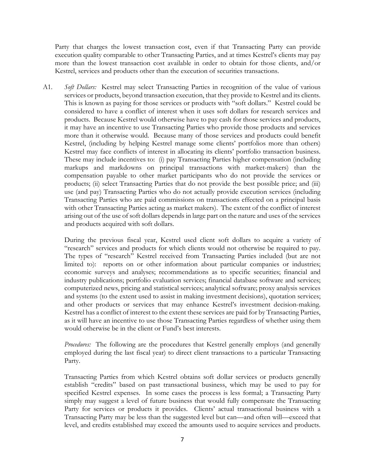Party that charges the lowest transaction cost, even if that Transacting Party can provide execution quality comparable to other Transacting Parties, and at times Kestrel's clients may pay more than the lowest transaction cost available in order to obtain for those clients, and/or Kestrel, services and products other than the execution of securities transactions.

A1*. Soft Dollars:* Kestrel may select Transacting Parties in recognition of the value of various services or products, beyond transaction execution, that they provide to Kestrel and its clients. This is known as paying for those services or products with "soft dollars." Kestrel could be considered to have a conflict of interest when it uses soft dollars for research services and products. Because Kestrel would otherwise have to pay cash for those services and products, it may have an incentive to use Transacting Parties who provide those products and services more than it otherwise would. Because many of those services and products could benefit Kestrel, (including by helping Kestrel manage some clients' portfolios more than others) Kestrel may face conflicts of interest in allocating its clients' portfolio transaction business. These may include incentives to: (i) pay Transacting Parties higher compensation (including markups and markdowns on principal transactions with market-makers) than the compensation payable to other market participants who do not provide the services or products; (ii) select Transacting Parties that do not provide the best possible price; and (iii) use (and pay) Transacting Parties who do not actually provide execution services (including Transacting Parties who are paid commissions on transactions effected on a principal basis with other Transacting Parties acting as market makers). The extent of the conflict of interest arising out of the use of soft dollars depends in large part on the nature and uses of the services and products acquired with soft dollars.

During the previous fiscal year, Kestrel used client soft dollars to acquire a variety of "research" services and products for which clients would not otherwise be required to pay. The types of "research" Kestrel received from Transacting Parties included (but are not limited to): reports on or other information about particular companies or industries; economic surveys and analyses; recommendations as to specific securities; financial and industry publications; portfolio evaluation services; financial database software and services; computerized news, pricing and statistical services; analytical software; proxy analysis services and systems (to the extent used to assist in making investment decisions), quotation services; and other products or services that may enhance Kestrel's investment decision-making. Kestrel has a conflict of interest to the extent these services are paid for by Transacting Parties, as it will have an incentive to use those Transacting Parties regardless of whether using them would otherwise be in the client or Fund's best interests.

*Procedures:* The following are the procedures that Kestrel generally employs (and generally employed during the last fiscal year) to direct client transactions to a particular Transacting Party.

Transacting Parties from which Kestrel obtains soft dollar services or products generally establish "credits" based on past transactional business, which may be used to pay for specified Kestrel expenses. In some cases the process is less formal; a Transacting Party simply may suggest a level of future business that would fully compensate the Transacting Party for services or products it provides. Clients' actual transactional business with a Transacting Party may be less than the suggested level but can—and often will—exceed that level, and credits established may exceed the amounts used to acquire services and products.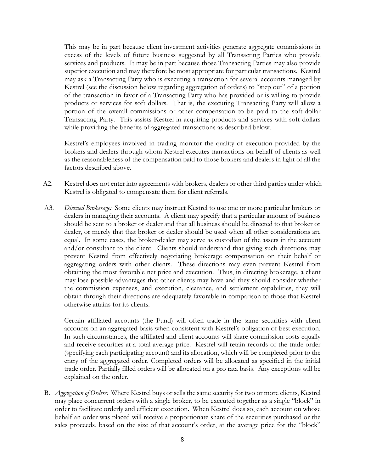This may be in part because client investment activities generate aggregate commissions in excess of the levels of future business suggested by all Transacting Parties who provide services and products. It may be in part because those Transacting Parties may also provide superior execution and may therefore be most appropriate for particular transactions. Kestrel may ask a Transacting Party who is executing a transaction for several accounts managed by Kestrel (see the discussion below regarding aggregation of orders) to "step out" of a portion of the transaction in favor of a Transacting Party who has provided or is willing to provide products or services for soft dollars. That is, the executing Transacting Party will allow a portion of the overall commissions or other compensation to be paid to the soft-dollar Transacting Party. This assists Kestrel in acquiring products and services with soft dollars while providing the benefits of aggregated transactions as described below.

Kestrel's employees involved in trading monitor the quality of execution provided by the brokers and dealers through whom Kestrel executes transactions on behalf of clients as well as the reasonableness of the compensation paid to those brokers and dealers in light of all the factors described above.

- A2. Kestrel does not enter into agreements with brokers, dealers or other third parties under which Kestrel is obligated to compensate them for client referrals.
- A3. *Directed Brokerage:* Some clients may instruct Kestrel to use one or more particular brokers or dealers in managing their accounts. A client may specify that a particular amount of business should be sent to a broker or dealer and that all business should be directed to that broker or dealer, or merely that that broker or dealer should be used when all other considerations are equal. In some cases, the broker-dealer may serve as custodian of the assets in the account and/or consultant to the client. Clients should understand that giving such directions may prevent Kestrel from effectively negotiating brokerage compensation on their behalf or aggregating orders with other clients. These directions may even prevent Kestrel from obtaining the most favorable net price and execution. Thus, in directing brokerage, a client may lose possible advantages that other clients may have and they should consider whether the commission expenses, and execution, clearance, and settlement capabilities, they will obtain through their directions are adequately favorable in comparison to those that Kestrel otherwise attains for its clients.

Certain affiliated accounts (the Fund) will often trade in the same securities with client accounts on an aggregated basis when consistent with Kestrel's obligation of best execution. In such circumstances, the affiliated and client accounts will share commission costs equally and receive securities at a total average price. Kestrel will retain records of the trade order (specifying each participating account) and its allocation, which will be completed prior to the entry of the aggregated order. Completed orders will be allocated as specified in the initial trade order. Partially filled orders will be allocated on a pro rata basis. Any exceptions will be explained on the order.

B. *Aggregation of Orders:* Where Kestrel buys or sells the same security for two or more clients, Kestrel may place concurrent orders with a single broker, to be executed together as a single "block" in order to facilitate orderly and efficient execution. When Kestrel does so, each account on whose behalf an order was placed will receive a proportionate share of the securities purchased or the sales proceeds, based on the size of that account's order, at the average price for the "block"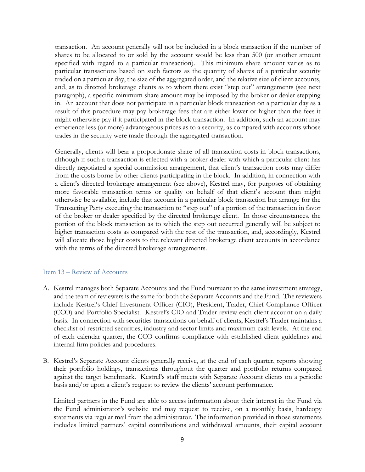transaction. An account generally will not be included in a block transaction if the number of shares to be allocated to or sold by the account would be less than 500 (or another amount specified with regard to a particular transaction). This minimum share amount varies as to particular transactions based on such factors as the quantity of shares of a particular security traded on a particular day, the size of the aggregated order, and the relative size of client accounts, and, as to directed brokerage clients as to whom there exist "step out" arrangements (see next paragraph), a specific minimum share amount may be imposed by the broker or dealer stepping in. An account that does not participate in a particular block transaction on a particular day as a result of this procedure may pay brokerage fees that are either lower or higher than the fees it might otherwise pay if it participated in the block transaction. In addition, such an account may experience less (or more) advantageous prices as to a security, as compared with accounts whose trades in the security were made through the aggregated transaction.

Generally, clients will bear a proportionate share of all transaction costs in block transactions, although if such a transaction is effected with a broker-dealer with which a particular client has directly negotiated a special commission arrangement, that client's transaction costs may differ from the costs borne by other clients participating in the block. In addition, in connection with a client's directed brokerage arrangement (see above), Kestrel may, for purposes of obtaining more favorable transaction terms or quality on behalf of that client's account than might otherwise be available, include that account in a particular block transaction but arrange for the Transacting Party executing the transaction to "step out" of a portion of the transaction in favor of the broker or dealer specified by the directed brokerage client. In those circumstances, the portion of the block transaction as to which the step out occurred generally will be subject to higher transaction costs as compared with the rest of the transaction, and, accordingly, Kestrel will allocate those higher costs to the relevant directed brokerage client accounts in accordance with the terms of the directed brokerage arrangements.

### Item 13 – Review of Accounts

- A. Kestrel manages both Separate Accounts and the Fund pursuant to the same investment strategy, and the team of reviewers is the same for both the Separate Accounts and the Fund. The reviewers include Kestrel's Chief Investment Officer (CIO), President, Trader, Chief Compliance Officer (CCO) and Portfolio Specialist. Kestrel's CIO and Trader review each client account on a daily basis. In connection with securities transactions on behalf of clients, Kestrel's Trader maintains a checklist of restricted securities, industry and sector limits and maximum cash levels. At the end of each calendar quarter, the CCO confirms compliance with established client guidelines and internal firm policies and procedures.
- B. Kestrel's Separate Account clients generally receive, at the end of each quarter, reports showing their portfolio holdings, transactions throughout the quarter and portfolio returns compared against the target benchmark. Kestrel's staff meets with Separate Account clients on a periodic basis and/or upon a client's request to review the clients' account performance.

Limited partners in the Fund are able to access information about their interest in the Fund via the Fund administrator's website and may request to receive, on a monthly basis, hardcopy statements via regular mail from the administrator. The information provided in those statements includes limited partners' capital contributions and withdrawal amounts, their capital account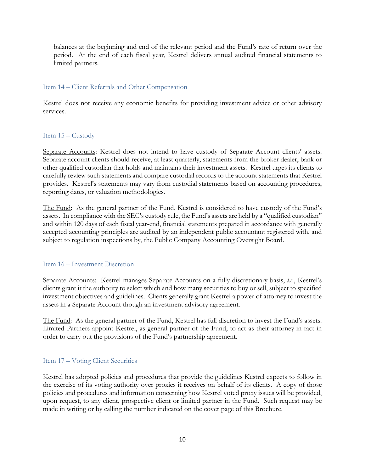balances at the beginning and end of the relevant period and the Fund's rate of return over the period. At the end of each fiscal year, Kestrel delivers annual audited financial statements to limited partners.

# Item 14 – Client Referrals and Other Compensation

Kestrel does not receive any economic benefits for providing investment advice or other advisory services.

# Item 15 – Custody

Separate Accounts: Kestrel does not intend to have custody of Separate Account clients' assets. Separate account clients should receive, at least quarterly, statements from the broker dealer, bank or other qualified custodian that holds and maintains their investment assets. Kestrel urges its clients to carefully review such statements and compare custodial records to the account statements that Kestrel provides. Kestrel's statements may vary from custodial statements based on accounting procedures, reporting dates, or valuation methodologies.

The Fund: As the general partner of the Fund, Kestrel is considered to have custody of the Fund's assets. In compliance with the SEC's custody rule, the Fund's assets are held by a "qualified custodian" and within 120 days of each fiscal year-end, financial statements prepared in accordance with generally accepted accounting principles are audited by an independent public accountant registered with, and subject to regulation inspections by, the Public Company Accounting Oversight Board.

# Item 16 – Investment Discretion

Separate Accounts: Kestrel manages Separate Accounts on a fully discretionary basis, *i.e.*, Kestrel's clients grant it the authority to select which and how many securities to buy or sell, subject to specified investment objectives and guidelines. Clients generally grant Kestrel a power of attorney to invest the assets in a Separate Account though an investment advisory agreement.

The Fund: As the general partner of the Fund, Kestrel has full discretion to invest the Fund's assets. Limited Partners appoint Kestrel, as general partner of the Fund, to act as their attorney-in-fact in order to carry out the provisions of the Fund's partnership agreement.

# Item 17 – Voting Client Securities

Kestrel has adopted policies and procedures that provide the guidelines Kestrel expects to follow in the exercise of its voting authority over proxies it receives on behalf of its clients. A copy of those policies and procedures and information concerning how Kestrel voted proxy issues will be provided, upon request, to any client, prospective client or limited partner in the Fund. Such request may be made in writing or by calling the number indicated on the cover page of this Brochure.